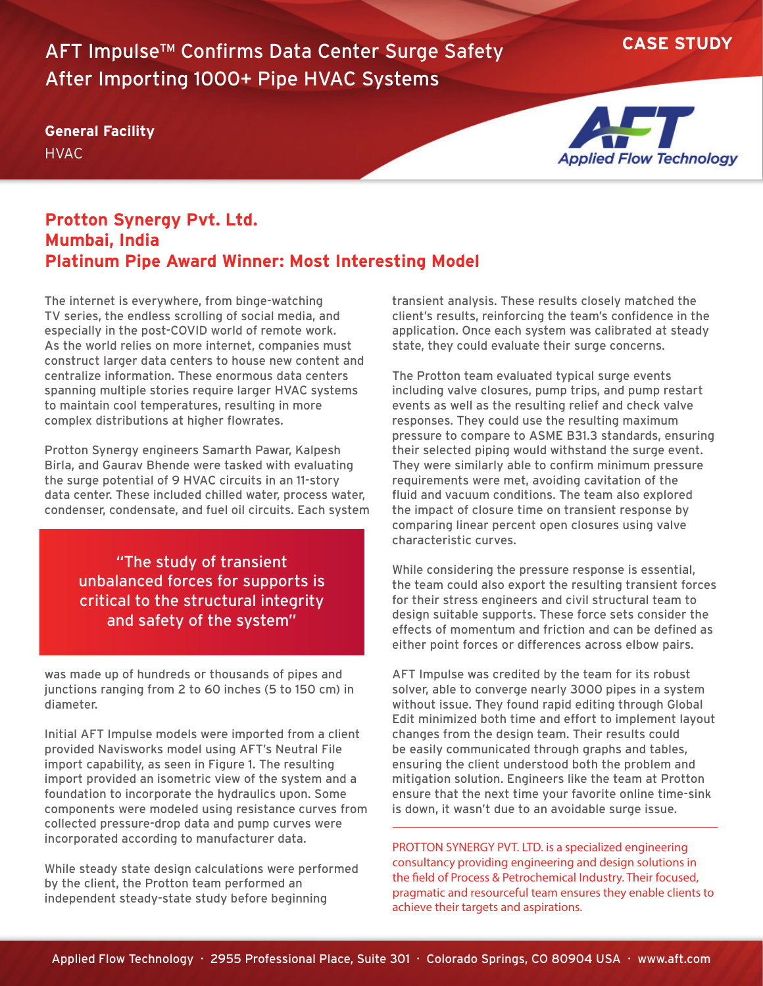**CASE STUDY** AFT Impulse™ Confirms Data Center Surge Safety After Importing 1000+ Pipe HVAC Systems

## **General Facility HVAC**



## **Protton Synergy Pvt. Ltd. Mumbai, India Platinum Pipe Award Winner: Most Interesting Model**

The internet is everywhere, from binge-watching TV series, the endless scrolling of social media, and especially in the post-COVID world of remote work. As the world relies on more internet, companies must construct larger data centers to house new content and centralize information. These enormous data centers spanning multiple stories require larger HVAC systems to maintain cool temperatures, resulting in more complex distributions at higher flowrates.

Protton Synergy engineers Samarth Pawar, Kalpesh Birla, and Gaurav Bhende were tasked with evaluating the surge potential of 9 HVAC circuits in an 11-story data center. These included chilled water, process water, condenser, condensate, and fuel oil circuits. Each system

> "The study of transient unbalanced forces for supports is critical to the structural integrity and safety of the system"

was made up of hundreds or thousands of pipes and junctions ranging from 2 to 60 inches (5 to 150 cm) in diameter.

Initial AFT Impulse models were imported from a client provided Navisworks model using AFT's Neutral File import capability, as seen in Figure 1. The resulting import provided an isometric view of the system and a foundation to incorporate the hydraulics upon. Some components were modeled using resistance curves from collected pressure-drop data and pump curves were incorporated according to manufacturer data.

While steady state design calculations were performed by the client, the Protton team performed an independent steady-state study before beginning

transient analysis. These results closely matched the client's results, reinforcing the team's confidence in the application. Once each system was calibrated at steady state, they could evaluate their surge concerns.

The Protton team evaluated typical surge events including valve closures, pump trips, and pump restart events as well as the resulting relief and check valve responses. They could use the resulting maximum pressure to compare to ASME B31.3 standards, ensuring their selected piping would withstand the surge event. They were similarly able to confirm minimum pressure requirements were met, avoiding cavitation of the fluid and vacuum conditions. The team also explored the impact of closure time on transient response by comparing linear percent open closures using valve characteristic curves.

While considering the pressure response is essential, the team could also export the resulting transient forces for their stress engineers and civil structural team to design suitable supports. These force sets consider the effects of momentum and friction and can be defined as either point forces or differences across elbow pairs.

AFT Impulse was credited by the team for its robust solver, able to converge nearly 3000 pipes in a system without issue. They found rapid editing through Global Edit minimized both time and effort to implement layout changes from the design team. Their results could be easily communicated through graphs and tables, ensuring the client understood both the problem and mitigation solution. Engineers like the team at Protton ensure that the next time your favorite online time-sink is down, it wasn't due to an avoidable surge issue.

PROTTON SYNERGY PVT. LTD. is a specialized engineering consultancy providing engineering and design solutions in the field of Process & Petrochemical Industry. Their focused, pragmatic and resourceful team ensures they enable clients to achieve their targets and aspirations.